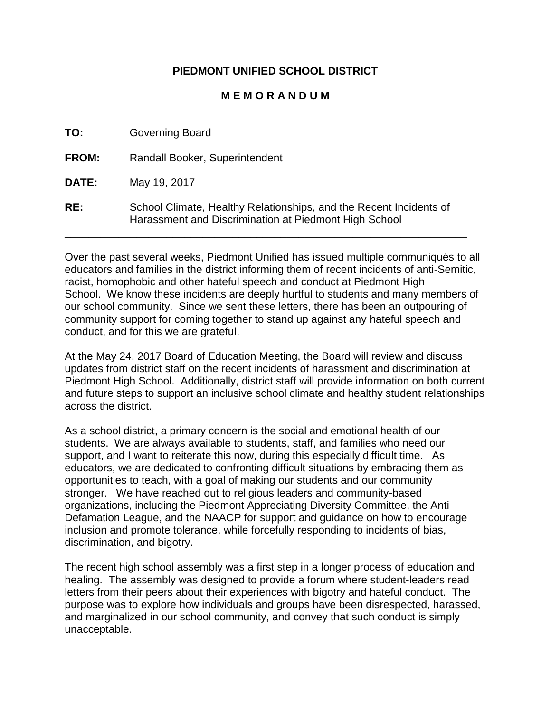# **PIEDMONT UNIFIED SCHOOL DISTRICT**

### **M E M O R A N D U M**

| TO:          | <b>Governing Board</b>                                                                                                      |
|--------------|-----------------------------------------------------------------------------------------------------------------------------|
| <b>FROM:</b> | Randall Booker, Superintendent                                                                                              |
| <b>DATE:</b> | May 19, 2017                                                                                                                |
| RE:          | School Climate, Healthy Relationships, and the Recent Incidents of<br>Harassment and Discrimination at Piedmont High School |

Over the past several weeks, Piedmont Unified has issued multiple communiqués to all educators and families in the district informing them of recent incidents of anti-Semitic, racist, homophobic and other hateful speech and conduct at Piedmont High School. We know these incidents are deeply hurtful to students and many members of our school community. Since we sent these letters, there has been an outpouring of community support for coming together to stand up against any hateful speech and conduct, and for this we are grateful.

At the May 24, 2017 Board of Education Meeting, the Board will review and discuss updates from district staff on the recent incidents of harassment and discrimination at Piedmont High School. Additionally, district staff will provide information on both current and future steps to support an inclusive school climate and healthy student relationships across the district.

As a school district, a primary concern is the social and emotional health of our students. We are always available to students, staff, and families who need our support, and I want to reiterate this now, during this especially difficult time. As educators, we are dedicated to confronting difficult situations by embracing them as opportunities to teach, with a goal of making our students and our community stronger. We have reached out to religious leaders and community-based organizations, including the Piedmont Appreciating Diversity Committee, the Anti-Defamation League, and the NAACP for support and guidance on how to encourage inclusion and promote tolerance, while forcefully responding to incidents of bias, discrimination, and bigotry.

The recent high school assembly was a first step in a longer process of education and healing. The assembly was designed to provide a forum where student-leaders read letters from their peers about their experiences with bigotry and hateful conduct. The purpose was to explore how individuals and groups have been disrespected, harassed, and marginalized in our school community, and convey that such conduct is simply unacceptable.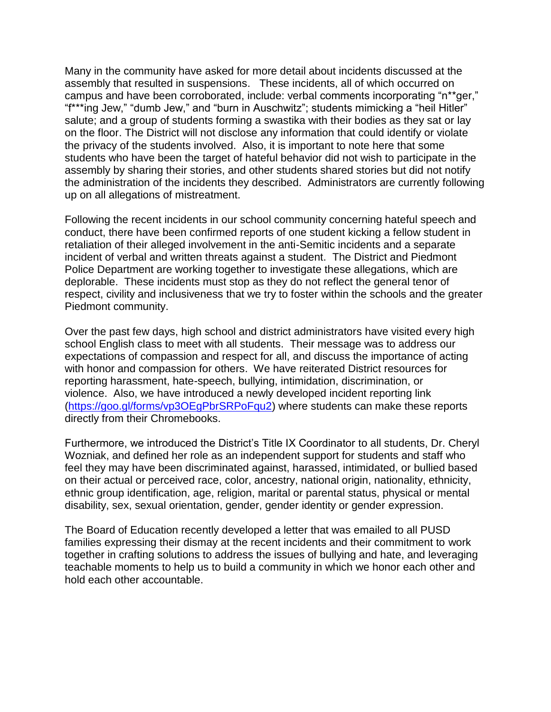Many in the community have asked for more detail about incidents discussed at the assembly that resulted in suspensions. These incidents, all of which occurred on campus and have been corroborated, include: verbal comments incorporating "n\*\*ger," "f\*\*\*ing Jew," "dumb Jew," and "burn in Auschwitz"; students mimicking a "heil Hitler" salute; and a group of students forming a swastika with their bodies as they sat or lay on the floor. The District will not disclose any information that could identify or violate the privacy of the students involved. Also, it is important to note here that some students who have been the target of hateful behavior did not wish to participate in the assembly by sharing their stories, and other students shared stories but did not notify the administration of the incidents they described. Administrators are currently following up on all allegations of mistreatment.

Following the recent incidents in our school community concerning hateful speech and conduct, there have been confirmed reports of one student kicking a fellow student in retaliation of their alleged involvement in the anti-Semitic incidents and a separate incident of verbal and written threats against a student. The District and Piedmont Police Department are working together to investigate these allegations, which are deplorable. These incidents must stop as they do not reflect the general tenor of respect, civility and inclusiveness that we try to foster within the schools and the greater Piedmont community.

Over the past few days, high school and district administrators have visited every high school English class to meet with all students. Their message was to address our expectations of compassion and respect for all, and discuss the importance of acting with honor and compassion for others. We have reiterated District resources for reporting harassment, hate-speech, bullying, intimidation, discrimination, or violence. Also, we have introduced a newly developed incident reporting link [\(https://goo.gl/forms/vp3OEgPbrSRPoFqu2\)](https://goo.gl/forms/vp3OEgPbrSRPoFqu2) where students can make these reports directly from their Chromebooks.

Furthermore, we introduced the District's Title IX Coordinator to all students, Dr. Cheryl Wozniak, and defined her role as an independent support for students and staff who feel they may have been discriminated against, harassed, intimidated, or bullied based on their actual or perceived race, color, ancestry, national origin, nationality, ethnicity, ethnic group identification, age, religion, marital or parental status, physical or mental disability, sex, sexual orientation, gender, gender identity or gender expression.

The Board of Education recently developed a letter that was emailed to all PUSD families expressing their dismay at the recent incidents and their commitment to work together in crafting solutions to address the issues of bullying and hate, and leveraging teachable moments to help us to build a community in which we honor each other and hold each other accountable.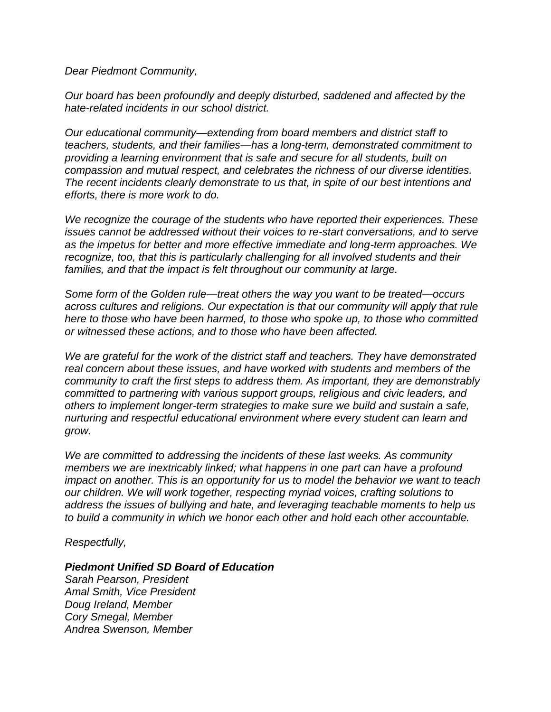*Dear Piedmont Community,*

*Our board has been profoundly and deeply disturbed, saddened and affected by the hate-related incidents in our school district.* 

*Our educational community—extending from board members and district staff to teachers, students, and their families—has a long-term, demonstrated commitment to providing a learning environment that is safe and secure for all students, built on compassion and mutual respect, and celebrates the richness of our diverse identities. The recent incidents clearly demonstrate to us that, in spite of our best intentions and efforts, there is more work to do.* 

*We recognize the courage of the students who have reported their experiences. These issues cannot be addressed without their voices to re-start conversations, and to serve as the impetus for better and more effective immediate and long-term approaches. We recognize, too, that this is particularly challenging for all involved students and their families, and that the impact is felt throughout our community at large.* 

*Some form of the Golden rule—treat others the way you want to be treated—occurs across cultures and religions. Our expectation is that our community will apply that rule here to those who have been harmed, to those who spoke up, to those who committed or witnessed these actions, and to those who have been affected.* 

*We are grateful for the work of the district staff and teachers. They have demonstrated real concern about these issues, and have worked with students and members of the community to craft the first steps to address them. As important, they are demonstrably committed to partnering with various support groups, religious and civic leaders, and others to implement longer-term strategies to make sure we build and sustain a safe, nurturing and respectful educational environment where every student can learn and grow.* 

*We are committed to addressing the incidents of these last weeks. As community members we are inextricably linked; what happens in one part can have a profound impact on another. This is an opportunity for us to model the behavior we want to teach our children. We will work together, respecting myriad voices, crafting solutions to address the issues of bullying and hate, and leveraging teachable moments to help us to build a community in which we honor each other and hold each other accountable.* 

#### *Respectfully,*

#### *Piedmont Unified SD Board of Education*

*Sarah Pearson, President Amal Smith, Vice President Doug Ireland, Member Cory Smegal, Member Andrea Swenson, Member*